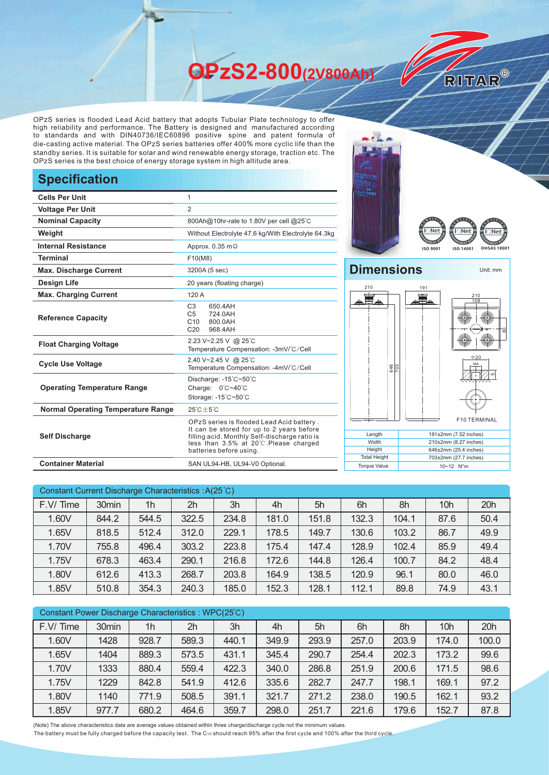**OPzS2-800(2V800Ah)** 

OPzS series is flooded Lead Acid battery that adopts Tubular Plate technology to offer high reliability and performance. The Battery is designed and manufactured according to standards and with DIN40736/IEC60896 positive spine and patent formula of die-casting active material. The OPzS series batteries offer 400% more cyclic life than the standby series. It is suitable for solar and wind renewable energy storage, traction etc. The OPzS series is the best choice of energy storage system in high altitude area.

## **Specification**

| <b>Cells Per Unit</b>                     | 1                                                                                                                                                                                                            |  |  |  |  |
|-------------------------------------------|--------------------------------------------------------------------------------------------------------------------------------------------------------------------------------------------------------------|--|--|--|--|
| <b>Voltage Per Unit</b>                   | $\overline{2}$                                                                                                                                                                                               |  |  |  |  |
| <b>Nominal Capacity</b>                   | 800Ah@10hr-rate to 1.80V per cell @25°C                                                                                                                                                                      |  |  |  |  |
| Weight                                    | Without Electrolyte 47.6 kg/With Electrolyte 64.3kg                                                                                                                                                          |  |  |  |  |
| <b>Internal Resistance</b>                | Approx. $0.35$ m $\Omega$                                                                                                                                                                                    |  |  |  |  |
| <b>Terminal</b>                           | F10(M8)                                                                                                                                                                                                      |  |  |  |  |
| <b>Max. Discharge Current</b>             | 3200A (5 sec)                                                                                                                                                                                                |  |  |  |  |
| Design Life                               | 20 years (floating charge)                                                                                                                                                                                   |  |  |  |  |
| <b>Max. Charging Current</b>              | 120 A                                                                                                                                                                                                        |  |  |  |  |
| <b>Reference Capacity</b>                 | C <sub>3</sub><br>650.4AH<br>C <sub>5</sub><br>724.0AH<br>C10<br>800.0AH<br>C <sub>20</sub><br>968.4AH                                                                                                       |  |  |  |  |
| <b>Float Charging Voltage</b>             | 2.23 V~2.25 V @ 25°C<br>Temperature Compensation: -3mV/°C/Cell                                                                                                                                               |  |  |  |  |
| <b>Cycle Use Voltage</b>                  | 2.40 V~2.45 V @ 25°C<br>Temperature Compensation: -4mV/°C/Cell                                                                                                                                               |  |  |  |  |
| <b>Operating Temperature Range</b>        | Discharge: -15°C~50°C<br>Charge: 0°C~40°C<br>Storage: -15°C~50°C                                                                                                                                             |  |  |  |  |
| <b>Normal Operating Temperature Range</b> | $25^{\circ}$ C + 5 $^{\circ}$ C                                                                                                                                                                              |  |  |  |  |
| <b>Self Discharge</b>                     | OPzS series is flooded Lead Acid battery.<br>It can be stored for up to 2 years before<br>filling acid. Monthly Self-discharge ratio is<br>less than 3.5% at 20°C. Please charged<br>batteries before using. |  |  |  |  |
| <b>Container Material</b>                 | SAN UL94-HB, UL94-V0 Optional.                                                                                                                                                                               |  |  |  |  |





RITAR®

## **Dimensions** Unit: mm 210  $19<sup>1</sup>$ 틀 210 108 이  $020$ Mε 646 703 55 F10 TERMINAL **Length** 191±2mm (7.52 inches) **Width** 210±2mm (8.27 inches) **Height** 646±2mm (25.4 inches) Total Height 703±2mm (27.7 inches) Torque Value 10~12 N<sup>\*</sup>m

| Constant Current Discharge Characteristics : A(25°C) |       |                |       |       |       |       |       |       |                 |      |
|------------------------------------------------------|-------|----------------|-------|-------|-------|-------|-------|-------|-----------------|------|
| F.V/Time                                             | 30min | 1 <sub>h</sub> | 2h    | 3h    | 4h    | 5h    | 6h    | 8h    | 10 <sub>h</sub> | 20h  |
| 1.60V                                                | 844.2 | 544.5          | 322.5 | 234.8 | 181.0 | 151.8 | 132.3 | 104.1 | 87.6            | 50.4 |
| 1.65V                                                | 818.5 | 512.4          | 312.0 | 229.1 | 178.5 | 149.7 | 130.6 | 103.2 | 86.7            | 49.9 |
| 1.70V                                                | 755.8 | 496.4          | 303.2 | 223.8 | 175.4 | 147.4 | 128.9 | 102.4 | 85.9            | 49.4 |
| 1.75V                                                | 678.3 | 463.4          | 290.1 | 216.8 | 172.6 | 144.8 | 126.4 | 100.7 | 84.2            | 48.4 |
| 1.80V                                                | 612.6 | 413.3          | 268.7 | 203.8 | 164.9 | 138.5 | 120.9 | 96.1  | 80.0            | 46.0 |
| 1.85V                                                | 510.8 | 354.3          | 240.3 | 185.0 | 152.3 | 128.1 | 112.1 | 89.8  | 74.9            | 43.1 |

| Constant Power Discharge Characteristics: WPC(25°C) |       |       |       |       |       |       |       |       |                 |       |
|-----------------------------------------------------|-------|-------|-------|-------|-------|-------|-------|-------|-----------------|-------|
| F.V/Time                                            | 30min | 1h    | 2h    | 3h    | 4h    | 5h    | 6h    | 8h    | 10 <sub>h</sub> | 20h   |
| 1.60V                                               | 1428  | 928.7 | 589.3 | 440.1 | 349.9 | 293.9 | 257.0 | 203.9 | 174.0           | 100.0 |
| 1.65V                                               | 1404  | 889.3 | 573.5 | 431.1 | 345.4 | 290.7 | 254.4 | 202.3 | 173.2           | 99.6  |
| 1.70V                                               | 1333  | 880.4 | 559.4 | 422.3 | 340.0 | 286.8 | 251.9 | 200.6 | 171.5           | 98.6  |
| 1.75V                                               | 1229  | 842.8 | 541.9 | 412.6 | 335.6 | 282.7 | 247.7 | 198.1 | 169.1           | 97.2  |
| 1.80V                                               | 1140  | 771.9 | 508.5 | 391.1 | 321.7 | 271.2 | 238.0 | 190.5 | 162.1           | 93.2  |
| 1.85V                                               | 977.7 | 680.2 | 464.6 | 359.7 | 298.0 | 251.7 | 221.6 | 179.6 | 152.7           | 87.8  |

(Note) The above characteristics data are average values obtained within three charge/discharge cycle not the minimum values.

The battery must be fully charged before the capacity test. The C10 should reach 95% after the first cycle and 100% after the third cycle.